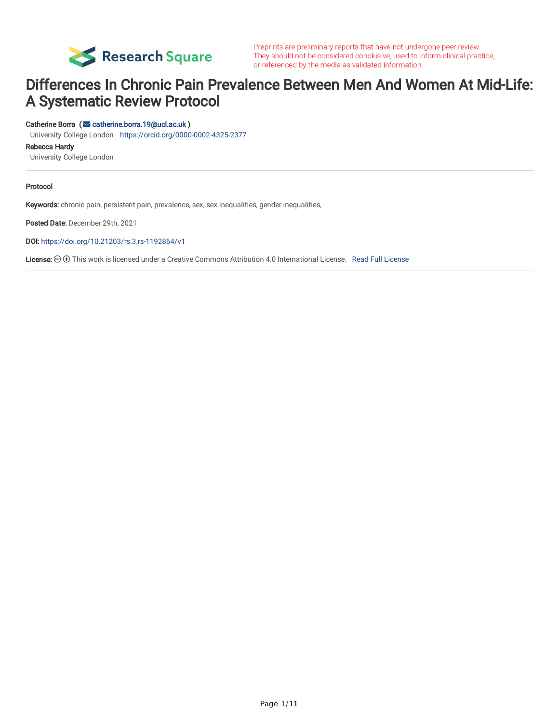

Preprints are preliminary reports that have not undergone peer review. They should not be considered conclusive, used to inform clinical practice, or referenced by the media as validated information.

# Differences In Chronic Pain Prevalence Between Men And Women At Mid-Life: A Systematic Review Protocol

#### Catherine Borra ( [catherine.borra.19@ucl.ac.uk](mailto:catherine.borra.19@ucl.ac.uk) )

University College London <https://orcid.org/0000-0002-4325-2377>

Rebecca Hardy

University College London

#### Protocol

Keywords: chronic pain, persistent pain, prevalence, sex, sex inequalities, gender inequalities,

Posted Date: December 29th, 2021

DOI: <https://doi.org/10.21203/rs.3.rs-1192864/v1>

[License](https://creativecommons.org/licenses/by/4.0/):  $\odot$  This work is licensed under a Creative Commons Attribution 4.0 International License. Read Full License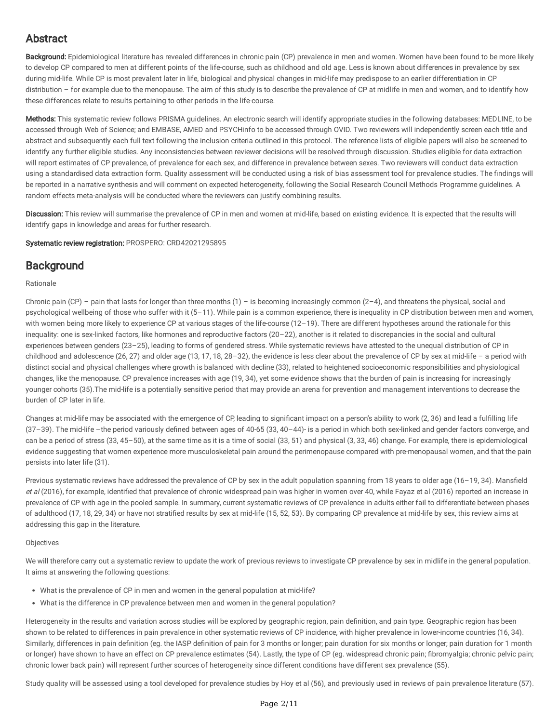# Abstract

Background: Epidemiological literature has revealed differences in chronic pain (CP) prevalence in men and women. Women have been found to be more likely to develop CP compared to men at different points of the life-course, such as childhood and old age. Less is known about differences in prevalence by sex during mid-life. While CP is most prevalent later in life, biological and physical changes in mid-life may predispose to an earlier differentiation in CP distribution – for example due to the menopause. The aim of this study is to describe the prevalence of CP at midlife in men and women, and to identify how these differences relate to results pertaining to other periods in the life-course.

Methods: This systematic review follows PRISMA quidelines. An electronic search will identify appropriate studies in the following databases: MEDLINE, to be accessed through Web of Science; and EMBASE, AMED and PSYCHinfo to be accessed through OVID. Two reviewers will independently screen each title and abstract and subsequently each full text following the inclusion criteria outlined in this protocol. The reference lists of eligible papers will also be screened to identify any further eligible studies. Any inconsistencies between reviewer decisions will be resolved through discussion. Studies eligible for data extraction will report estimates of CP prevalence, of prevalence for each sex, and difference in prevalence between sexes. Two reviewers will conduct data extraction using a standardised data extraction form. Quality assessment will be conducted using a risk of bias assessment tool for prevalence studies. The findings will be reported in a narrative synthesis and will comment on expected heterogeneity, following the Social Research Council Methods Programme guidelines. A random effects meta-analysis will be conducted where the reviewers can justify combining results.

Discussion: This review will summarise the prevalence of CP in men and women at mid-life, based on existing evidence. It is expected that the results will identify gaps in knowledge and areas for further research.

Systematic review registration: PROSPERO: CRD42021295895

## **Background**

#### Rationale

Chronic pain (CP) – pain that lasts for longer than three months  $(1)$  – is becoming increasingly common  $(2-4)$ , and threatens the physical, social and psychological wellbeing of those who suffer with it (5–11). While pain is a common experience, there is inequality in CP distribution between men and women, with women being more likely to experience CP at various stages of the life-course (12-19). There are different hypotheses around the rationale for this inequality: one is sex-linked factors, like hormones and reproductive factors (20–22), another is it related to discrepancies in the social and cultural experiences between genders (23–25), leading to forms of gendered stress. While systematic reviews have attested to the unequal distribution of CP in childhood and adolescence (26, 27) and older age (13, 17, 18, 28–32), the evidence is less clear about the prevalence of CP by sex at mid-life – a period with distinct social and physical challenges where growth is balanced with decline (33), related to heightened socioeconomic responsibilities and physiological changes, like the menopause. CP prevalence increases with age (19, 34), yet some evidence shows that the burden of pain is increasing for increasingly younger cohorts (35).The mid-life is a potentially sensitive period that may provide an arena for prevention and management interventions to decrease the burden of CP later in life.

Changes at mid-life may be associated with the emergence of CP, leading to significant impact on a person's ability to work (2, 36) and lead a fulfilling life (37–39). The mid-life –the period variously defined between ages of 40-65 (33, 40–44)- is a period in which both sex-linked and gender factors converge, and can be a period of stress (33, 45–50), at the same time as it is a time of social (33, 51) and physical (3, 33, 46) change. For example, there is epidemiological evidence suggesting that women experience more musculoskeletal pain around the perimenopause compared with pre-menopausal women, and that the pain persists into later life (31).

Previous systematic reviews have addressed the prevalence of CP by sex in the adult population spanning from 18 years to older age (16–19, 34). Mansfield et al (2016), for example, identified that prevalence of chronic widespread pain was higher in women over 40, while Fayaz et al (2016) reported an increase in prevalence of CP with age in the pooled sample. In summary, current systematic reviews of CP prevalence in adults either fail to differentiate between phases of adulthood (17, 18, 29, 34) or have not stratified results by sex at mid-life (15, 52, 53). By comparing CP prevalence at mid-life by sex, this review aims at addressing this gap in the literature.

#### Objectives

We will therefore carry out a systematic review to update the work of previous reviews to investigate CP prevalence by sex in midlife in the general population. It aims at answering the following questions:

- What is the prevalence of CP in men and women in the general population at mid-life?
- What is the difference in CP prevalence between men and women in the general population?

Heterogeneity in the results and variation across studies will be explored by geographic region, pain definition, and pain type. Geographic region has been shown to be related to differences in pain prevalence in other systematic reviews of CP incidence, with higher prevalence in lower-income countries (16, 34). Similarly, differences in pain definition (eg. the IASP definition of pain for 3 months or longer; pain duration for six months or longer; pain duration for 1 month or longer) have shown to have an effect on CP prevalence estimates (54). Lastly, the type of CP (eg. widespread chronic pain; fibromyalgia; chronic pelvic pain; chronic lower back pain) will represent further sources of heterogeneity since different conditions have different sex prevalence (55).

Study quality will be assessed using a tool developed for prevalence studies by Hoy et al (56), and previously used in reviews of pain prevalence literature (57).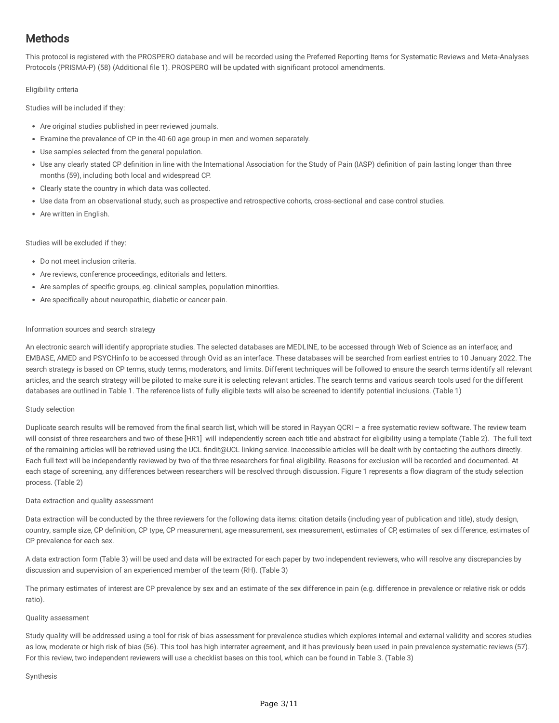# **Methods**

This protocol is registered with the PROSPERO database and will be recorded using the Preferred Reporting Items for Systematic Reviews and Meta-Analyses Protocols (PRISMA-P) (58) (Additional file 1). PROSPERO will be updated with significant protocol amendments.

#### Eligibility criteria

Studies will be included if they:

- Are original studies published in peer reviewed journals.
- Examine the prevalence of CP in the 40-60 age group in men and women separately.
- Use samples selected from the general population.
- Use any clearly stated CP definition in line with the International Association for the Study of Pain (IASP) definition of pain lasting longer than three months (59), including both local and widespread CP.
- Clearly state the country in which data was collected.
- Use data from an observational study, such as prospective and retrospective cohorts, cross-sectional and case control studies.
- Are written in English.

Studies will be excluded if they:

- Do not meet inclusion criteria.
- Are reviews, conference proceedings, editorials and letters.
- Are samples of specific groups, eg. clinical samples, population minorities.
- Are specifically about neuropathic, diabetic or cancer pain.

#### Information sources and search strategy

An electronic search will identify appropriate studies. The selected databases are MEDLINE, to be accessed through Web of Science as an interface; and EMBASE, AMED and PSYCHinfo to be accessed through Ovid as an interface. These databases will be searched from earliest entries to 10 January 2022. The search strategy is based on CP terms, study terms, moderators, and limits. Different techniques will be followed to ensure the search terms identify all relevant articles, and the search strategy will be piloted to make sure it is selecting relevant articles. The search terms and various search tools used for the different databases are outlined in Table 1. The reference lists of fully eligible texts will also be screened to identify potential inclusions. (Table 1)

#### Study selection

Duplicate search results will be removed from the final search list, which will be stored in Rayyan QCRI - a free systematic review software. The review team will consist of three researchers and two of these [HR1] will independently screen each title and abstract for eligibility using a template (Table 2). The full text of the remaining articles will be retrieved using the UCL findit@UCL linking service. Inaccessible articles will be dealt with by contacting the authors directly. Each full text will be independently reviewed by two of the three researchers for final eligibility. Reasons for exclusion will be recorded and documented. At each stage of screening, any differences between researchers will be resolved through discussion. Figure 1 represents a flow diagram of the study selection process. (Table 2)

#### Data extraction and quality assessment

Data extraction will be conducted by the three reviewers for the following data items: citation details (including year of publication and title), study design, country, sample size, CP definition, CP type, CP measurement, age measurement, sex measurement, estimates of CP, estimates of sex difference, estimates of CP prevalence for each sex.

A data extraction form (Table 3) will be used and data will be extracted for each paper by two independent reviewers, who will resolve any discrepancies by discussion and supervision of an experienced member of the team (RH). (Table 3)

The primary estimates of interest are CP prevalence by sex and an estimate of the sex difference in pain (e.g. difference in prevalence or relative risk or odds ratio).

#### Quality assessment

Study quality will be addressed using a tool for risk of bias assessment for prevalence studies which explores internal and external validity and scores studies as low, moderate or high risk of bias (56). This tool has high interrater agreement, and it has previously been used in pain prevalence systematic reviews (57). For this review, two independent reviewers will use a checklist bases on this tool, which can be found in Table 3. (Table 3)

#### Synthesis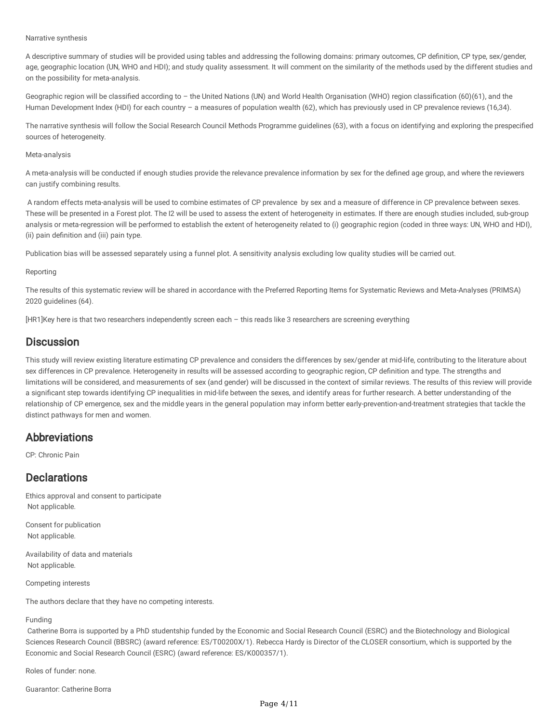#### Narrative synthesis

A descriptive summary of studies will be provided using tables and addressing the following domains: primary outcomes, CP definition, CP type, sex/gender, age, geographic location (UN, WHO and HDI); and study quality assessment. It will comment on the similarity of the methods used by the different studies and on the possibility for meta-analysis.

Geographic region will be classified according to – the United Nations (UN) and World Health Organisation (WHO) region classification (60)(61), and the Human Development Index (HDI) for each country – a measures of population wealth (62), which has previously used in CP prevalence reviews (16,34).

The narrative synthesis will follow the Social Research Council Methods Programme guidelines (63), with a focus on identifying and exploring the prespecified sources of heterogeneity.

#### Meta-analysis

A meta-analysis will be conducted if enough studies provide the relevance prevalence information by sex for the defined age group, and where the reviewers can justify combining results.

A random effects meta-analysis will be used to combine estimates of CP prevalence by sex and a measure of difference in CP prevalence between sexes. These will be presented in a Forest plot. The I2 will be used to assess the extent of heterogeneity in estimates. If there are enough studies included, sub-group analysis or meta-regression will be performed to establish the extent of heterogeneity related to (i) geographic region (coded in three ways: UN, WHO and HDI), (ii) pain definition and (iii) pain type.

Publication bias will be assessed separately using a funnel plot. A sensitivity analysis excluding low quality studies will be carried out.

#### Reporting

The results of this systematic review will be shared in accordance with the Preferred Reporting Items for Systematic Reviews and Meta-Analyses (PRIMSA) 2020 guidelines (64).

[HR1]Key here is that two researchers independently screen each – this reads like 3 researchers are screening everything

## **Discussion**

This study will review existing literature estimating CP prevalence and considers the differences by sex/gender at mid-life, contributing to the literature about sex differences in CP prevalence. Heterogeneity in results will be assessed according to geographic region, CP definition and type. The strengths and limitations will be considered, and measurements of sex (and gender) will be discussed in the context of similar reviews. The results of this review will provide a significant step towards identifying CP inequalities in mid-life between the sexes, and identify areas for further research. A better understanding of the relationship of CP emergence, sex and the middle years in the general population may inform better early-prevention-and-treatment strategies that tackle the distinct pathways for men and women.

## Abbreviations

CP: Chronic Pain

## **Declarations**

Ethics approval and consent to participate Not applicable.

Consent for publication Not applicable.

Availability of data and materials Not applicable.

Competing interests

The authors declare that they have no competing interests.

#### Funding

Catherine Borra is supported by a PhD studentship funded by the Economic and Social Research Council (ESRC) and the Biotechnology and Biological Sciences Research Council (BBSRC) (award reference: ES/T00200X/1). Rebecca Hardy is Director of the CLOSER consortium, which is supported by the Economic and Social Research Council (ESRC) (award reference: ES/K000357/1).

Roles of funder: none.

Guarantor: Catherine Borra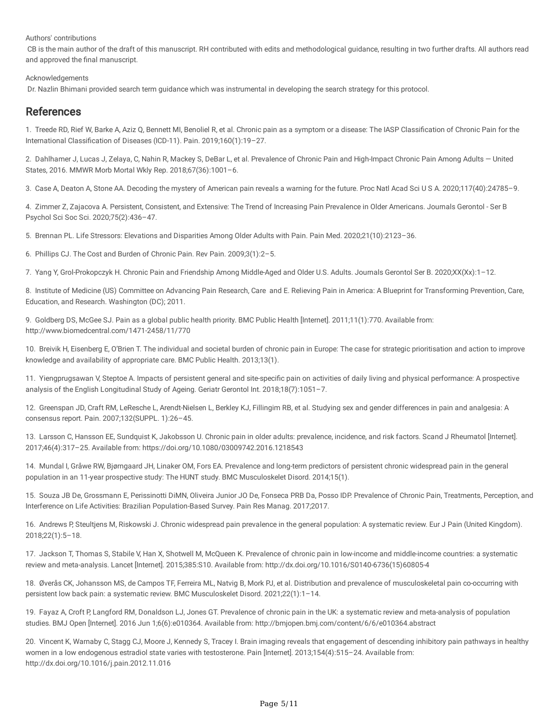Authors' contributions

CB is the main author of the draft of this manuscript. RH contributed with edits and methodological guidance, resulting in two further drafts. All authors read and approved the final manuscript.

#### Acknowledgements

Dr. Nazlin Bhimani provided search term guidance which was instrumental in developing the search strategy for this protocol.

## References

1. Treede RD, Rief W, Barke A, Aziz Q, Bennett MI, Benoliel R, et al. Chronic pain as a symptom or a disease: The IASP Classification of Chronic Pain for the International Classification of Diseases (ICD-11). Pain. 2019;160(1):19–27.

2. Dahlhamer J, Lucas J, Zelaya, C, Nahin R, Mackey S, DeBar L, et al. Prevalence of Chronic Pain and High-Impact Chronic Pain Among Adults — United States, 2016. MMWR Morb Mortal Wkly Rep. 2018;67(36):1001–6.

3. Case A, Deaton A, Stone AA. Decoding the mystery of American pain reveals a warning for the future. Proc Natl Acad Sci U S A. 2020;117(40):24785–9.

4. Zimmer Z, Zajacova A. Persistent, Consistent, and Extensive: The Trend of Increasing Pain Prevalence in Older Americans. Journals Gerontol - Ser B Psychol Sci Soc Sci. 2020;75(2):436–47.

5. Brennan PL. Life Stressors: Elevations and Disparities Among Older Adults with Pain. Pain Med. 2020;21(10):2123–36.

6. Phillips CJ. The Cost and Burden of Chronic Pain. Rev Pain. 2009;3(1):2–5.

7. Yang Y, Grol-Prokopczyk H. Chronic Pain and Friendship Among Middle-Aged and Older U.S. Adults. Journals Gerontol Ser B. 2020;XX(Xx):1–12.

8. Institute of Medicine (US) Committee on Advancing Pain Research, Care and E. Relieving Pain in America: A Blueprint for Transforming Prevention, Care, Education, and Research. Washington (DC); 2011.

9. Goldberg DS, McGee SJ. Pain as a global public health priority. BMC Public Health [Internet]. 2011;11(1):770. Available from: http://www.biomedcentral.com/1471-2458/11/770

10. Breivik H, Eisenberg E, O'Brien T. The individual and societal burden of chronic pain in Europe: The case for strategic prioritisation and action to improve knowledge and availability of appropriate care. BMC Public Health. 2013;13(1).

11. Yiengprugsawan V, Steptoe A. Impacts of persistent general and site-specific pain on activities of daily living and physical performance: A prospective analysis of the English Longitudinal Study of Ageing. Geriatr Gerontol Int. 2018;18(7):1051–7.

12. Greenspan JD, Craft RM, LeResche L, Arendt-Nielsen L, Berkley KJ, Fillingim RB, et al. Studying sex and gender differences in pain and analgesia: A consensus report. Pain. 2007;132(SUPPL. 1):26–45.

13. Larsson C, Hansson EE, Sundquist K, Jakobsson U. Chronic pain in older adults: prevalence, incidence, and risk factors. Scand J Rheumatol [Internet]. 2017;46(4):317–25. Available from: https://doi.org/10.1080/03009742.2016.1218543

14. Mundal I, Gråwe RW, Bjørngaard JH, Linaker OM, Fors EA. Prevalence and long-term predictors of persistent chronic widespread pain in the general population in an 11-year prospective study: The HUNT study. BMC Musculoskelet Disord. 2014;15(1).

15. Souza JB De, Grossmann E, Perissinotti DiMN, Oliveira Junior JO De, Fonseca PRB Da, Posso IDP. Prevalence of Chronic Pain, Treatments, Perception, and Interference on Life Activities: Brazilian Population-Based Survey. Pain Res Manag. 2017;2017.

16. Andrews P, Steultjens M, Riskowski J. Chronic widespread pain prevalence in the general population: A systematic review. Eur J Pain (United Kingdom). 2018;22(1):5–18.

17. Jackson T, Thomas S, Stabile V, Han X, Shotwell M, McQueen K. Prevalence of chronic pain in low-income and middle-income countries: a systematic review and meta-analysis. Lancet [Internet]. 2015;385:S10. Available from: http://dx.doi.org/10.1016/S0140-6736(15)60805-4

18. Øverås CK, Johansson MS, de Campos TF, Ferreira ML, Natvig B, Mork PJ, et al. Distribution and prevalence of musculoskeletal pain co-occurring with persistent low back pain: a systematic review. BMC Musculoskelet Disord. 2021;22(1):1–14.

19. Fayaz A, Croft P, Langford RM, Donaldson LJ, Jones GT. Prevalence of chronic pain in the UK: a systematic review and meta-analysis of population studies. BMJ Open [Internet]. 2016 Jun 1;6(6):e010364. Available from: http://bmjopen.bmj.com/content/6/6/e010364.abstract

20. Vincent K, Warnaby C, Stagg CJ, Moore J, Kennedy S, Tracey I. Brain imaging reveals that engagement of descending inhibitory pain pathways in healthy women in a low endogenous estradiol state varies with testosterone. Pain [Internet]. 2013;154(4):515–24. Available from: http://dx.doi.org/10.1016/j.pain.2012.11.016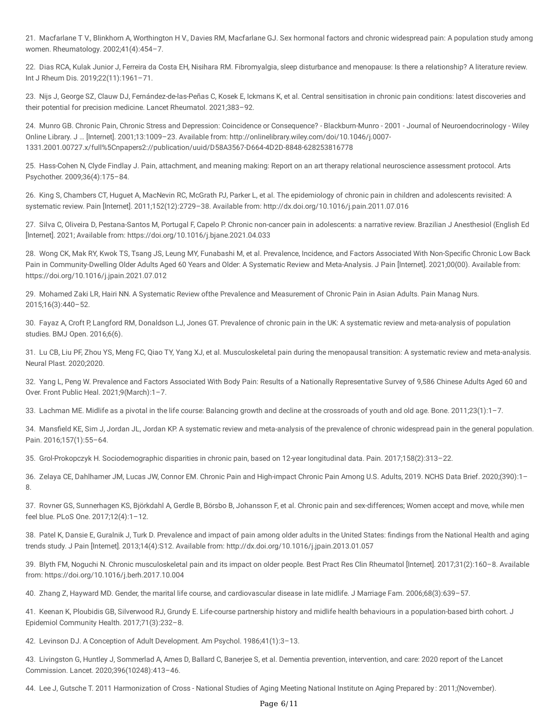21. Macfarlane T V., Blinkhorn A, Worthington H V., Davies RM, Macfarlane GJ. Sex hormonal factors and chronic widespread pain: A population study among women. Rheumatology. 2002;41(4):454–7.

22. Dias RCA, Kulak Junior J, Ferreira da Costa EH, Nisihara RM. Fibromyalgia, sleep disturbance and menopause: Is there a relationship? A literature review. Int J Rheum Dis. 2019;22(11):1961–71.

23. Nijs J, George SZ, Clauw DJ, Fernández-de-las-Peñas C, Kosek E, Ickmans K, et al. Central sensitisation in chronic pain conditions: latest discoveries and their potential for precision medicine. Lancet Rheumatol. 2021;383–92.

24. Munro GB. Chronic Pain, Chronic Stress and Depression: Coincidence or Consequence? - Blackburn-Munro - 2001 - Journal of Neuroendocrinology - Wiley Online Library. J … [Internet]. 2001;13:1009–23. Available from: http://onlinelibrary.wiley.com/doi/10.1046/j.0007- 1331.2001.00727.x/full%5Cnpapers2://publication/uuid/D58A3567-D664-4D2D-8848-628253816778

25. Hass-Cohen N, Clyde Findlay J. Pain, attachment, and meaning making: Report on an art therapy relational neuroscience assessment protocol. Arts Psychother. 2009;36(4):175–84.

26. King S, Chambers CT, Huguet A, MacNevin RC, McGrath PJ, Parker L, et al. The epidemiology of chronic pain in children and adolescents revisited: A systematic review. Pain [Internet]. 2011;152(12):2729–38. Available from: http://dx.doi.org/10.1016/j.pain.2011.07.016

27. Silva C, Oliveira D, Pestana-Santos M, Portugal F, Capelo P. Chronic non-cancer pain in adolescents: a narrative review. Brazilian J Anesthesiol (English Ed [Internet]. 2021; Available from: https://doi.org/10.1016/j.bjane.2021.04.033

28. Wong CK, Mak RY, Kwok TS, Tsang JS, Leung MY, Funabashi M, et al. Prevalence, Incidence, and Factors Associated With Non-Specific Chronic Low Back Pain in Community-Dwelling Older Adults Aged 60 Years and Older: A Systematic Review and Meta-Analysis. J Pain [Internet]. 2021;00(00). Available from: https://doi.org/10.1016/j.jpain.2021.07.012

29. Mohamed Zaki LR, Hairi NN. A Systematic Review ofthe Prevalence and Measurement of Chronic Pain in Asian Adults. Pain Manag Nurs. 2015;16(3):440–52.

30. Fayaz A, Croft P, Langford RM, Donaldson LJ, Jones GT. Prevalence of chronic pain in the UK: A systematic review and meta-analysis of population studies. BMJ Open. 2016;6(6).

31. Lu CB, Liu PF, Zhou YS, Meng FC, Qiao TY, Yang XJ, et al. Musculoskeletal pain during the menopausal transition: A systematic review and meta-analysis. Neural Plast. 2020;2020.

32. Yang L, Peng W. Prevalence and Factors Associated With Body Pain: Results of a Nationally Representative Survey of 9,586 Chinese Adults Aged 60 and Over. Front Public Heal. 2021;9(March):1–7.

33. Lachman ME. Midlife as a pivotal in the life course: Balancing growth and decline at the crossroads of youth and old age. Bone. 2011;23(1):1–7.

34. Mansfield KE, Sim J, Jordan JL, Jordan KP. A systematic review and meta-analysis of the prevalence of chronic widespread pain in the general population. Pain. 2016;157(1):55–64.

35. Grol-Prokopczyk H. Sociodemographic disparities in chronic pain, based on 12-year longitudinal data. Pain. 2017;158(2):313–22.

36. Zelaya CE, Dahlhamer JM, Lucas JW, Connor EM. Chronic Pain and High-impact Chronic Pain Among U.S. Adults, 2019. NCHS Data Brief. 2020;(390):1– 8.

37. Rovner GS, Sunnerhagen KS, Björkdahl A, Gerdle B, Börsbo B, Johansson F, et al. Chronic pain and sex-differences; Women accept and move, while men feel blue. PLoS One. 2017;12(4):1–12.

38. Patel K, Dansie E, Guralnik J, Turk D. Prevalence and impact of pain among older adults in the United States: findings from the National Health and aging trends study. J Pain [Internet]. 2013;14(4):S12. Available from: http://dx.doi.org/10.1016/j.jpain.2013.01.057

39. Blyth FM, Noguchi N. Chronic musculoskeletal pain and its impact on older people. Best Pract Res Clin Rheumatol [Internet]. 2017;31(2):160–8. Available from: https://doi.org/10.1016/j.berh.2017.10.004

40. Zhang Z, Hayward MD. Gender, the marital life course, and cardiovascular disease in late midlife. J Marriage Fam. 2006;68(3):639–57.

41. Keenan K, Ploubidis GB, Silverwood RJ, Grundy E. Life-course partnership history and midlife health behaviours in a population-based birth cohort. J Epidemiol Community Health. 2017;71(3):232–8.

42. Levinson DJ. A Conception of Adult Development. Am Psychol. 1986;41(1):3–13.

43. Livingston G, Huntley J, Sommerlad A, Ames D, Ballard C, Banerjee S, et al. Dementia prevention, intervention, and care: 2020 report of the Lancet Commission. Lancet. 2020;396(10248):413–46.

44. Lee J, Gutsche T. 2011 Harmonization of Cross - National Studies of Aging Meeting National Institute on Aging Prepared by : 2011;(November).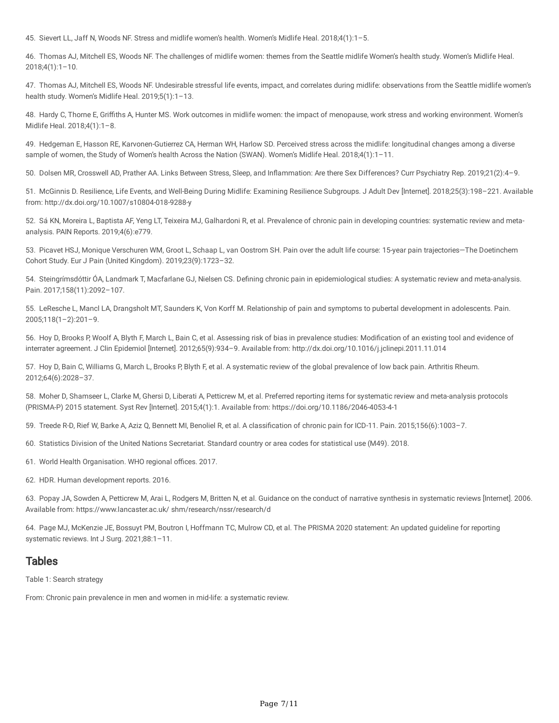45. Sievert LL, Jaff N, Woods NF. Stress and midlife women's health. Women's Midlife Heal. 2018;4(1):1–5.

46. Thomas AJ, Mitchell ES, Woods NF. The challenges of midlife women: themes from the Seattle midlife Women's health study. Women's Midlife Heal.  $2018;4(1):1-10.$ 

47. Thomas AJ, Mitchell ES, Woods NF. Undesirable stressful life events, impact, and correlates during midlife: observations from the Seattle midlife women's health study. Women's Midlife Heal. 2019;5(1):1–13.

48. Hardy C, Thorne E, Griffiths A, Hunter MS. Work outcomes in midlife women: the impact of menopause, work stress and working environment. Women's Midlife Heal. 2018;4(1):1–8.

49. Hedgeman E, Hasson RE, Karvonen-Gutierrez CA, Herman WH, Harlow SD. Perceived stress across the midlife: longitudinal changes among a diverse sample of women, the Study of Women's health Across the Nation (SWAN). Women's Midlife Heal. 2018;4(1):1-11.

50. Dolsen MR, Crosswell AD, Prather AA. Links Between Stress, Sleep, and Inflammation: Are there Sex Differences? Curr Psychiatry Rep. 2019;21(2):4–9.

51. McGinnis D. Resilience, Life Events, and Well-Being During Midlife: Examining Resilience Subgroups. J Adult Dev [Internet]. 2018;25(3):198–221. Available from: http://dx.doi.org/10.1007/s10804-018-9288-y

52. Sá KN, Moreira L, Baptista AF, Yeng LT, Teixeira MJ, Galhardoni R, et al. Prevalence of chronic pain in developing countries: systematic review and metaanalysis. PAIN Reports. 2019;4(6):e779.

53. Picavet HSJ, Monique Verschuren WM, Groot L, Schaap L, van Oostrom SH. Pain over the adult life course: 15-year pain trajectories—The Doetinchem Cohort Study. Eur J Pain (United Kingdom). 2019;23(9):1723–32.

54. Steingrímsdóttir ÓA, Landmark T, Macfarlane GJ, Nielsen CS. Defining chronic pain in epidemiological studies: A systematic review and meta-analysis. Pain. 2017;158(11):2092–107.

55. LeResche L, Mancl LA, Drangsholt MT, Saunders K, Von Korff M. Relationship of pain and symptoms to pubertal development in adolescents. Pain. 2005;118(1–2):201–9.

56. Hoy D, Brooks P, Woolf A, Blyth F, March L, Bain C, et al. Assessing risk of bias in prevalence studies: Modification of an existing tool and evidence of interrater agreement. J Clin Epidemiol [Internet]. 2012;65(9):934–9. Available from: http://dx.doi.org/10.1016/j.jclinepi.2011.11.014

57. Hoy D, Bain C, Williams G, March L, Brooks P, Blyth F, et al. A systematic review of the global prevalence of low back pain. Arthritis Rheum. 2012;64(6):2028–37.

58. Moher D, Shamseer L, Clarke M, Ghersi D, Liberati A, Petticrew M, et al. Preferred reporting items for systematic review and meta-analysis protocols (PRISMA-P) 2015 statement. Syst Rev [Internet]. 2015;4(1):1. Available from: https://doi.org/10.1186/2046-4053-4-1

59. Treede R-D, Rief W, Barke A, Aziz Q, Bennett MI, Benoliel R, et al. A classification of chronic pain for ICD-11. Pain. 2015;156(6):1003–7.

60. Statistics Division of the United Nations Secretariat. Standard country or area codes for statistical use (M49). 2018.

61. World Health Organisation. WHO regional offices. 2017.

62. HDR. Human development reports. 2016.

63. Popay JA, Sowden A, Petticrew M, Arai L, Rodgers M, Britten N, et al. Guidance on the conduct of narrative synthesis in systematic reviews [Internet]. 2006. Available from: https://www.lancaster.ac.uk/ shm/research/nssr/research/d

64. Page MJ, McKenzie JE, Bossuyt PM, Boutron I, Hoffmann TC, Mulrow CD, et al. The PRISMA 2020 statement: An updated guideline for reporting systematic reviews. Int J Surg. 2021;88:1–11.

## Tables

Table 1: Search strategy

From: Chronic pain prevalence in men and women in mid-life: a systematic review.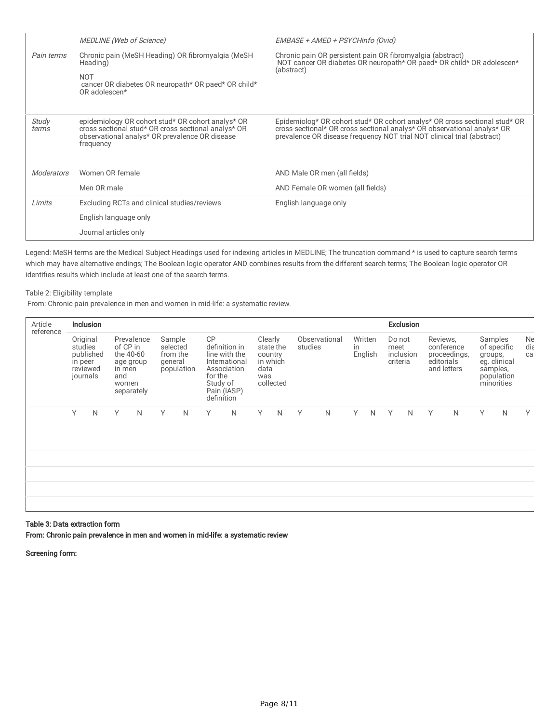|                | <b>MEDLINE</b> (Web of Science)                                                                                                                                         | EMBASE + AMED + PSYCHinfo (Ovid)                                                                                                                                                                                              |  |  |  |  |  |
|----------------|-------------------------------------------------------------------------------------------------------------------------------------------------------------------------|-------------------------------------------------------------------------------------------------------------------------------------------------------------------------------------------------------------------------------|--|--|--|--|--|
| Pain terms     | Chronic pain (MeSH Heading) OR fibromyalgia (MeSH<br>Heading)<br><b>NOT</b><br>cancer OR diabetes OR neuropath* OR paed* OR child*<br>OR adolescen*                     | Chronic pain OR persistent pain OR fibromyalgia (abstract)<br>NOT cancer OR diabetes OR neuropath* OR paed* OR child* OR adolescen*<br>(abstract)                                                                             |  |  |  |  |  |
|                |                                                                                                                                                                         |                                                                                                                                                                                                                               |  |  |  |  |  |
| Study<br>terms | epidemiology OR cohort stud* OR cohort analys* OR<br>cross sectional stud* OR cross sectional analys* OR<br>observational analys* OR prevalence OR disease<br>frequency | Epidemiolog* OR cohort stud* OR cohort analys* OR cross sectional stud* OR cross-sectional* OR cross sectional analys* OR observational analys* OR<br>prevalence OR disease frequency NOT trial NOT clinical trial (abstract) |  |  |  |  |  |
| Moderators     | Women OR female                                                                                                                                                         | AND Male OR men (all fields)                                                                                                                                                                                                  |  |  |  |  |  |
|                | Men OR male                                                                                                                                                             | AND Female OR women (all fields)                                                                                                                                                                                              |  |  |  |  |  |
| Limits         | Excluding RCTs and clinical studies/reviews                                                                                                                             | English language only                                                                                                                                                                                                         |  |  |  |  |  |
|                | English language only                                                                                                                                                   |                                                                                                                                                                                                                               |  |  |  |  |  |
|                | Journal articles only                                                                                                                                                   |                                                                                                                                                                                                                               |  |  |  |  |  |

Legend: MeSH terms are the Medical Subject Headings used for indexing articles in MEDLINE; The truncation command \* is used to capture search terms which may have alternative endings; The Boolean logic operator AND combines results from the different search terms; The Boolean logic operator OR identifies results which include at least one of the search terms.

#### Table 2: Eligibility template

From: Chronic pain prevalence in men and women in mid-life: a systematic review.

| Article<br>reference | <b>Inclusion</b>                                                    |              |                                                                                          |   |                                                         |   |                                                                                                                                 |              |                                                                         |              |                          |   |                          | <b>Exclusion</b> |                                         |   |                                                                     |   |                                                                                           |              |                 |
|----------------------|---------------------------------------------------------------------|--------------|------------------------------------------------------------------------------------------|---|---------------------------------------------------------|---|---------------------------------------------------------------------------------------------------------------------------------|--------------|-------------------------------------------------------------------------|--------------|--------------------------|---|--------------------------|------------------|-----------------------------------------|---|---------------------------------------------------------------------|---|-------------------------------------------------------------------------------------------|--------------|-----------------|
|                      | Original<br>studies<br>published<br>in peer<br>reviewed<br>journals |              | Prevalence<br>of CP in<br>the 40-60<br>age group<br>in men<br>and<br>women<br>separately |   | Sample<br>selected<br>from the<br>general<br>population |   | <b>CP</b><br>definition in<br>line with the<br>International<br>Association<br>for the<br>Study of<br>Pain (IASP)<br>definition |              | Clearly<br>state the<br>country<br>in which<br>data<br>was<br>collected |              | Observational<br>studies |   | Written<br>in<br>English |                  | Do not<br>meet<br>inclusion<br>criteria |   | Reviews,<br>conference<br>proceedings,<br>editorials<br>and letters |   | Samples<br>of specific<br>groups,<br>eg. clinical<br>samples,<br>population<br>minorities |              | Ne<br>diε<br>ca |
|                      | Y                                                                   | $\mathsf{N}$ | Y                                                                                        | N | Y                                                       | N | Y                                                                                                                               | $\mathsf{N}$ | Y                                                                       | $\mathsf{N}$ | Y                        | N | Y.                       | N                | Y                                       | N | Y                                                                   | N | Y                                                                                         | $\mathsf{N}$ | Υ               |
|                      |                                                                     |              |                                                                                          |   |                                                         |   |                                                                                                                                 |              |                                                                         |              |                          |   |                          |                  |                                         |   |                                                                     |   |                                                                                           |              |                 |
|                      |                                                                     |              |                                                                                          |   |                                                         |   |                                                                                                                                 |              |                                                                         |              |                          |   |                          |                  |                                         |   |                                                                     |   |                                                                                           |              |                 |
|                      |                                                                     |              |                                                                                          |   |                                                         |   |                                                                                                                                 |              |                                                                         |              |                          |   |                          |                  |                                         |   |                                                                     |   |                                                                                           |              |                 |
|                      |                                                                     |              |                                                                                          |   |                                                         |   |                                                                                                                                 |              |                                                                         |              |                          |   |                          |                  |                                         |   |                                                                     |   |                                                                                           |              |                 |
|                      |                                                                     |              |                                                                                          |   |                                                         |   |                                                                                                                                 |              |                                                                         |              |                          |   |                          |                  |                                         |   |                                                                     |   |                                                                                           |              |                 |

#### Table 3: Data extraction form

From: Chronic pain prevalence in men and women in mid-life: a systematic review

Screening form: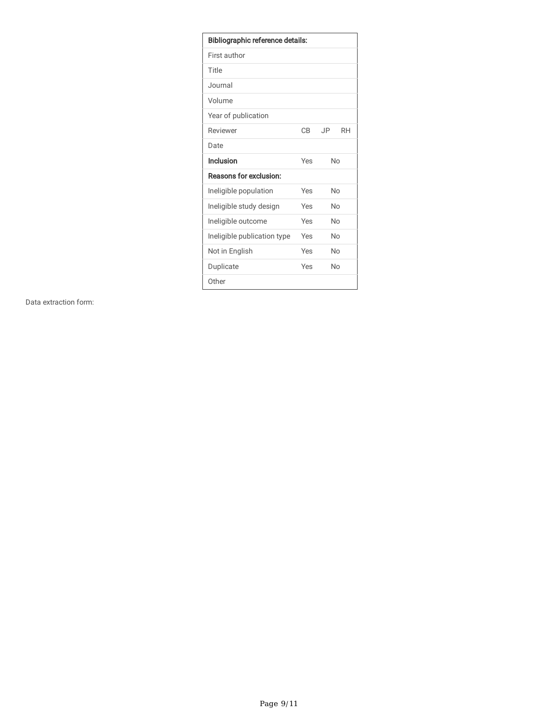| <b>Bibliographic reference details:</b> |     |                  |  |  |  |  |  |  |
|-----------------------------------------|-----|------------------|--|--|--|--|--|--|
| First author                            |     |                  |  |  |  |  |  |  |
| Title                                   |     |                  |  |  |  |  |  |  |
| Journal                                 |     |                  |  |  |  |  |  |  |
| Volume                                  |     |                  |  |  |  |  |  |  |
| Year of publication                     |     |                  |  |  |  |  |  |  |
| Reviewer                                | CB  | JP.<br><b>RH</b> |  |  |  |  |  |  |
| Date                                    |     |                  |  |  |  |  |  |  |
| Inclusion                               | Yes | No               |  |  |  |  |  |  |
| Reasons for exclusion:                  |     |                  |  |  |  |  |  |  |
| Ineligible population                   | Yes | No               |  |  |  |  |  |  |
| Ineligible study design                 | Yes | No               |  |  |  |  |  |  |
| Ineligible outcome                      | Yes | No               |  |  |  |  |  |  |
| Ineligible publication type             | Yes | No               |  |  |  |  |  |  |
| Not in English                          | Yes | No               |  |  |  |  |  |  |
| Duplicate                               | Yes |                  |  |  |  |  |  |  |
| Other                                   |     |                  |  |  |  |  |  |  |

Data extraction form: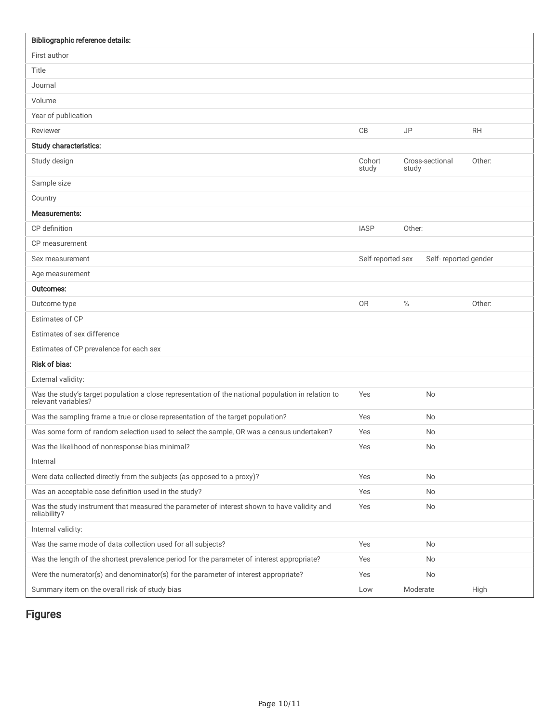| Bibliographic reference details:                                                                                       |                   |           |                      |           |
|------------------------------------------------------------------------------------------------------------------------|-------------------|-----------|----------------------|-----------|
| First author                                                                                                           |                   |           |                      |           |
| Title                                                                                                                  |                   |           |                      |           |
| Journal                                                                                                                |                   |           |                      |           |
| Volume                                                                                                                 |                   |           |                      |           |
| Year of publication                                                                                                    |                   |           |                      |           |
| Reviewer                                                                                                               | CB                | <b>JP</b> |                      | <b>RH</b> |
| Study characteristics:                                                                                                 |                   |           |                      |           |
| Study design                                                                                                           | Cohort<br>study   | study     | Cross-sectional      | Other:    |
| Sample size                                                                                                            |                   |           |                      |           |
| Country                                                                                                                |                   |           |                      |           |
| Measurements:                                                                                                          |                   |           |                      |           |
| CP definition                                                                                                          | <b>IASP</b>       | Other:    |                      |           |
| CP measurement                                                                                                         |                   |           |                      |           |
| Sex measurement                                                                                                        | Self-reported sex |           | Self-reported gender |           |
| Age measurement                                                                                                        |                   |           |                      |           |
| Outcomes:                                                                                                              |                   |           |                      |           |
| Outcome type                                                                                                           | <b>OR</b>         | $\%$      |                      | Other:    |
| Estimates of CP                                                                                                        |                   |           |                      |           |
| Estimates of sex difference                                                                                            |                   |           |                      |           |
| Estimates of CP prevalence for each sex                                                                                |                   |           |                      |           |
| Risk of bias:                                                                                                          |                   |           |                      |           |
| External validity:                                                                                                     |                   |           |                      |           |
| Was the study's target population a close representation of the national population in relation to relevant variables? | Yes               |           | No                   |           |
| Was the sampling frame a true or close representation of the target population?                                        | Yes               |           | <b>No</b>            |           |
| Was some form of random selection used to select the sample, OR was a census undertaken?                               | Yes               |           | <b>No</b>            |           |
| Was the likelihood of nonresponse bias minimal?                                                                        | Yes               |           | No                   |           |
| Internal                                                                                                               |                   |           |                      |           |
| Were data collected directly from the subjects (as opposed to a proxy)?                                                | Yes               |           | No                   |           |
| Was an acceptable case definition used in the study?                                                                   | Yes               |           | No                   |           |
| Was the study instrument that measured the parameter of interest shown to have validity and<br>reliability?            | Yes               |           | No                   |           |
| Internal validity:                                                                                                     |                   |           |                      |           |
| Was the same mode of data collection used for all subjects?                                                            | Yes               |           | No                   |           |
| Was the length of the shortest prevalence period for the parameter of interest appropriate?                            | Yes               |           | No                   |           |
| Were the numerator(s) and denominator(s) for the parameter of interest appropriate?                                    | Yes               |           | No                   |           |
| Summary item on the overall risk of study bias                                                                         | Low               | Moderate  |                      | High      |

Figures